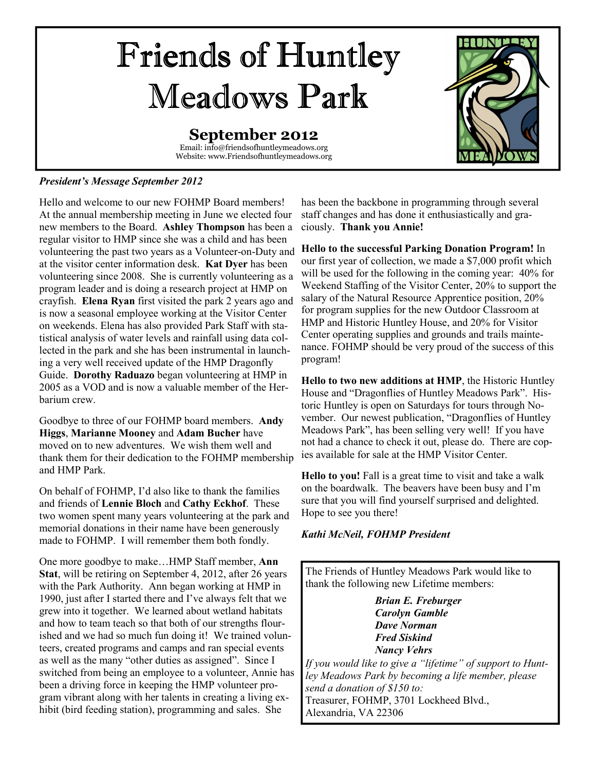# Friends of Huntley Meadows Park

### **September 2012**

Email: info@friendsofhuntleymeadows.org Website: www.Friendsofhuntleymeadows.org



### *President's Message September 2012*

Hello and welcome to our new FOHMP Board members! At the annual membership meeting in June we elected four new members to the Board. **Ashley Thompson** has been a regular visitor to HMP since she was a child and has been volunteering the past two years as a Volunteer-on-Duty and at the visitor center information desk. **Kat Dyer** has been volunteering since 2008. She is currently volunteering as a program leader and is doing a research project at HMP on crayfish. **Elena Ryan** first visited the park 2 years ago and is now a seasonal employee working at the Visitor Center on weekends. Elena has also provided Park Staff with statistical analysis of water levels and rainfall using data collected in the park and she has been instrumental in launching a very well received update of the HMP Dragonfly Guide. **Dorothy Raduazo** began volunteering at HMP in 2005 as a VOD and is now a valuable member of the Herbarium crew.

Goodbye to three of our FOHMP board members. **Andy Higgs**, **Marianne Mooney** and **Adam Bucher** have moved on to new adventures. We wish them well and thank them for their dedication to the FOHMP membership and HMP Park.

On behalf of FOHMP, I'd also like to thank the families and friends of **Lennie Bloch** and **Cathy Eckhof**. These two women spent many years volunteering at the park and memorial donations in their name have been generously made to FOHMP. I will remember them both fondly.

One more goodbye to make…HMP Staff member, **Ann Stat**, will be retiring on September 4, 2012, after 26 years with the Park Authority. Ann began working at HMP in 1990, just after I started there and I've always felt that we grew into it together. We learned about wetland habitats and how to team teach so that both of our strengths flourished and we had so much fun doing it! We trained volunteers, created programs and camps and ran special events as well as the many "other duties as assigned". Since I switched from being an employee to a volunteer, Annie has been a driving force in keeping the HMP volunteer program vibrant along with her talents in creating a living exhibit (bird feeding station), programming and sales. She

has been the backbone in programming through several staff changes and has done it enthusiastically and graciously. **Thank you Annie!**

**Hello to the successful Parking Donation Program!** In our first year of collection, we made a \$7,000 profit which will be used for the following in the coming year: 40% for Weekend Staffing of the Visitor Center, 20% to support the salary of the Natural Resource Apprentice position, 20% for program supplies for the new Outdoor Classroom at HMP and Historic Huntley House, and 20% for Visitor Center operating supplies and grounds and trails maintenance. FOHMP should be very proud of the success of this program!

**Hello to two new additions at HMP**, the Historic Huntley House and "Dragonflies of Huntley Meadows Park". Historic Huntley is open on Saturdays for tours through November. Our newest publication, "Dragonflies of Huntley Meadows Park", has been selling very well! If you have not had a chance to check it out, please do. There are copies available for sale at the HMP Visitor Center.

**Hello to you!** Fall is a great time to visit and take a walk on the boardwalk. The beavers have been busy and I'm sure that you will find yourself surprised and delighted. Hope to see you there!

### *Kathi McNeil, FOHMP President*

The Friends of Huntley Meadows Park would like to thank the following new Lifetime members:

> *Brian E. Freburger Carolyn Gamble Dave Norman Fred Siskind Nancy Vehrs*

*If you would like to give a "lifetime" of support to Huntley Meadows Park by becoming a life member, please send a donation of \$150 to:*  Treasurer, FOHMP, 3701 Lockheed Blvd., Alexandria, VA 22306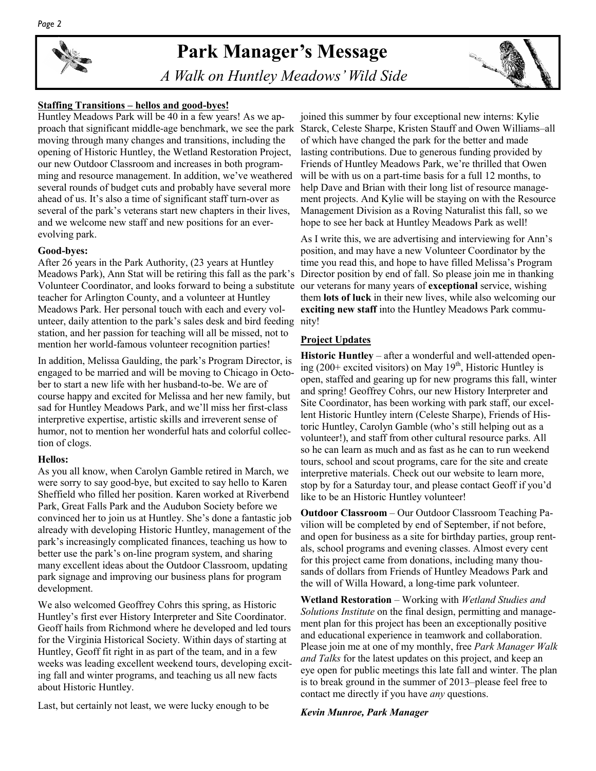### **Park Manager's Message**

 *A Walk on Huntley Meadows' Wild Side* 



### **Staffing Transitions – hellos and good-byes!**

Huntley Meadows Park will be 40 in a few years! As we approach that significant middle-age benchmark, we see the park moving through many changes and transitions, including the opening of Historic Huntley, the Wetland Restoration Project, our new Outdoor Classroom and increases in both programming and resource management. In addition, we've weathered several rounds of budget cuts and probably have several more ahead of us. It's also a time of significant staff turn-over as several of the park's veterans start new chapters in their lives, and we welcome new staff and new positions for an everevolving park.

### **Good-byes:**

After 26 years in the Park Authority, (23 years at Huntley Meadows Park), Ann Stat will be retiring this fall as the park's Volunteer Coordinator, and looks forward to being a substitute teacher for Arlington County, and a volunteer at Huntley Meadows Park. Her personal touch with each and every volunteer, daily attention to the park's sales desk and bird feeding station, and her passion for teaching will all be missed, not to mention her world-famous volunteer recognition parties!

In addition, Melissa Gaulding, the park's Program Director, is engaged to be married and will be moving to Chicago in October to start a new life with her husband-to-be. We are of course happy and excited for Melissa and her new family, but sad for Huntley Meadows Park, and we'll miss her first-class interpretive expertise, artistic skills and irreverent sense of humor, not to mention her wonderful hats and colorful collection of clogs.

#### **Hellos:**

As you all know, when Carolyn Gamble retired in March, we were sorry to say good-bye, but excited to say hello to Karen Sheffield who filled her position. Karen worked at Riverbend Park, Great Falls Park and the Audubon Society before we convinced her to join us at Huntley. She's done a fantastic job already with developing Historic Huntley, management of the park's increasingly complicated finances, teaching us how to better use the park's on-line program system, and sharing many excellent ideas about the Outdoor Classroom, updating park signage and improving our business plans for program development.

We also welcomed Geoffrey Cohrs this spring, as Historic Huntley's first ever History Interpreter and Site Coordinator. Geoff hails from Richmond where he developed and led tours for the Virginia Historical Society. Within days of starting at Huntley, Geoff fit right in as part of the team, and in a few weeks was leading excellent weekend tours, developing exciting fall and winter programs, and teaching us all new facts about Historic Huntley.

Last, but certainly not least, we were lucky enough to be

joined this summer by four exceptional new interns: Kylie Starck, Celeste Sharpe, Kristen Stauff and Owen Williams–all of which have changed the park for the better and made lasting contributions. Due to generous funding provided by Friends of Huntley Meadows Park, we're thrilled that Owen will be with us on a part-time basis for a full 12 months, to help Dave and Brian with their long list of resource management projects. And Kylie will be staying on with the Resource Management Division as a Roving Naturalist this fall, so we hope to see her back at Huntley Meadows Park as well!

As I write this, we are advertising and interviewing for Ann's position, and may have a new Volunteer Coordinator by the time you read this, and hope to have filled Melissa's Program Director position by end of fall. So please join me in thanking our veterans for many years of **exceptional** service, wishing them **lots of luck** in their new lives, while also welcoming our **exciting new staff** into the Huntley Meadows Park community!

### **Project Updates**

**Historic Huntley** – after a wonderful and well-attended opening (200+ excited visitors) on May  $19<sup>th</sup>$ , Historic Huntley is open, staffed and gearing up for new programs this fall, winter and spring! Geoffrey Cohrs, our new History Interpreter and Site Coordinator, has been working with park staff, our excellent Historic Huntley intern (Celeste Sharpe), Friends of Historic Huntley, Carolyn Gamble (who's still helping out as a volunteer!), and staff from other cultural resource parks. All so he can learn as much and as fast as he can to run weekend tours, school and scout programs, care for the site and create interpretive materials. Check out our website to learn more, stop by for a Saturday tour, and please contact Geoff if you'd like to be an Historic Huntley volunteer!

**Outdoor Classroom** – Our Outdoor Classroom Teaching Pavilion will be completed by end of September, if not before, and open for business as a site for birthday parties, group rentals, school programs and evening classes. Almost every cent for this project came from donations, including many thousands of dollars from Friends of Huntley Meadows Park and the will of Willa Howard, a long-time park volunteer.

**Wetland Restoration** – Working with *Wetland Studies and Solutions Institute* on the final design, permitting and management plan for this project has been an exceptionally positive and educational experience in teamwork and collaboration. Please join me at one of my monthly, free *Park Manager Walk and Talks* for the latest updates on this project, and keep an eye open for public meetings this late fall and winter. The plan is to break ground in the summer of 2013–please feel free to contact me directly if you have *any* questions.

#### *Kevin Munroe, Park Manager*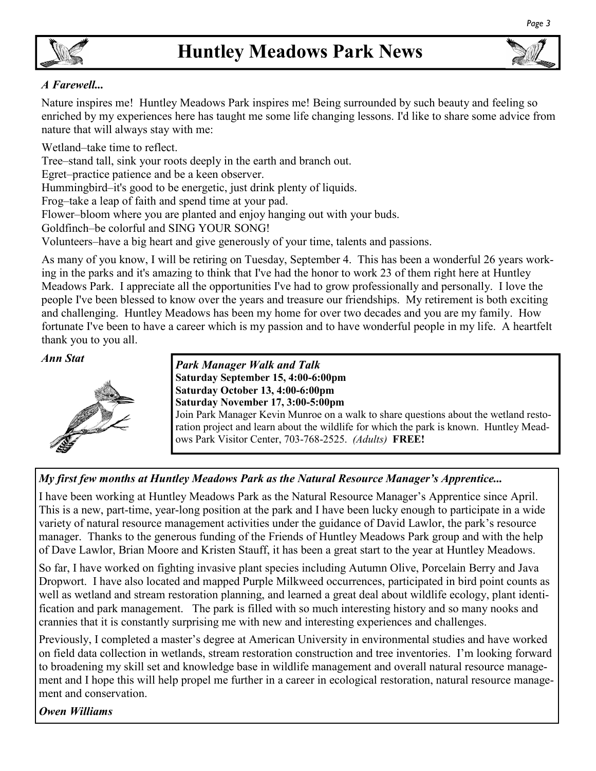

*Page 3* 

### *A Farewell...*

Nature inspires me! Huntley Meadows Park inspires me! Being surrounded by such beauty and feeling so enriched by my experiences here has taught me some life changing lessons. I'd like to share some advice from nature that will always stay with me:

Wetland–take time to reflect.

Tree–stand tall, sink your roots deeply in the earth and branch out.

Egret–practice patience and be a keen observer.

Hummingbird–it's good to be energetic, just drink plenty of liquids.

Frog–take a leap of faith and spend time at your pad.

Flower–bloom where you are planted and enjoy hanging out with your buds.

Goldfinch–be colorful and SING YOUR SONG!

Volunteers–have a big heart and give generously of your time, talents and passions.

As many of you know, I will be retiring on Tuesday, September 4. This has been a wonderful 26 years working in the parks and it's amazing to think that I've had the honor to work 23 of them right here at Huntley Meadows Park. I appreciate all the opportunities I've had to grow professionally and personally. I love the people I've been blessed to know over the years and treasure our friendships. My retirement is both exciting and challenging. Huntley Meadows has been my home for over two decades and you are my family. How fortunate I've been to have a career which is my passion and to have wonderful people in my life. A heartfelt thank you to you all.



*Ann Stat Park Manager Walk and Talk*  **Saturday September 15, 4:00-6:00pm Saturday October 13, 4:00-6:00pm Saturday November 17, 3:00-5:00pm** 

Join Park Manager Kevin Munroe on a walk to share questions about the wetland restoration project and learn about the wildlife for which the park is known. Huntley Meadows Park Visitor Center, 703-768-2525. *(Adults)* **FREE!**

### *My first few months at Huntley Meadows Park as the Natural Resource Manager's Apprentice...*

I have been working at Huntley Meadows Park as the Natural Resource Manager's Apprentice since April. This is a new, part-time, year-long position at the park and I have been lucky enough to participate in a wide variety of natural resource management activities under the guidance of David Lawlor, the park's resource manager. Thanks to the generous funding of the Friends of Huntley Meadows Park group and with the help of Dave Lawlor, Brian Moore and Kristen Stauff, it has been a great start to the year at Huntley Meadows.

So far, I have worked on fighting invasive plant species including Autumn Olive, Porcelain Berry and Java Dropwort. I have also located and mapped Purple Milkweed occurrences, participated in bird point counts as well as wetland and stream restoration planning, and learned a great deal about wildlife ecology, plant identification and park management. The park is filled with so much interesting history and so many nooks and crannies that it is constantly surprising me with new and interesting experiences and challenges.

Previously, I completed a master's degree at American University in environmental studies and have worked on field data collection in wetlands, stream restoration construction and tree inventories. I'm looking forward to broadening my skill set and knowledge base in wildlife management and overall natural resource management and I hope this will help propel me further in a career in ecological restoration, natural resource management and conservation.

*Owen Williams*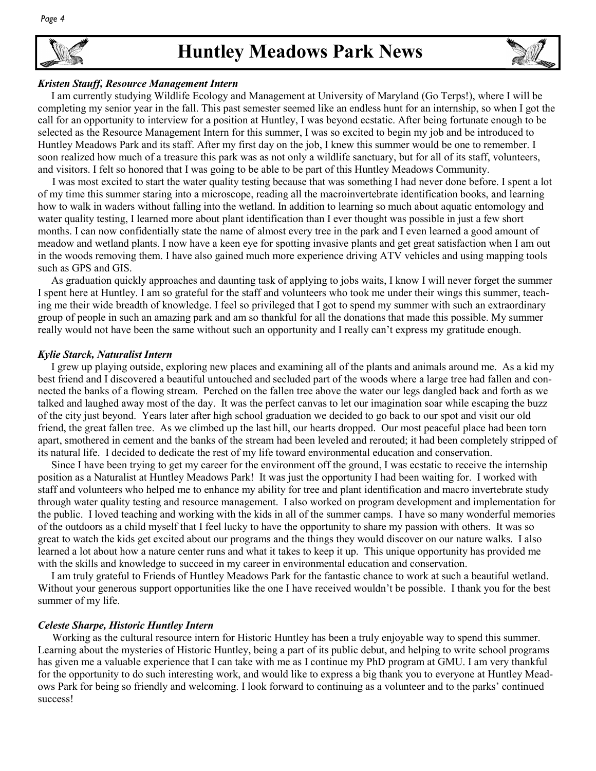### **Huntley Meadows Park News**



### *Kristen Stauff, Resource Management Intern*

 I am currently studying Wildlife Ecology and Management at University of Maryland (Go Terps!), where I will be completing my senior year in the fall. This past semester seemed like an endless hunt for an internship, so when I got the call for an opportunity to interview for a position at Huntley, I was beyond ecstatic. After being fortunate enough to be selected as the Resource Management Intern for this summer, I was so excited to begin my job and be introduced to Huntley Meadows Park and its staff. After my first day on the job, I knew this summer would be one to remember. I soon realized how much of a treasure this park was as not only a wildlife sanctuary, but for all of its staff, volunteers, and visitors. I felt so honored that I was going to be able to be part of this Huntley Meadows Community.

 I was most excited to start the water quality testing because that was something I had never done before. I spent a lot of my time this summer staring into a microscope, reading all the macroinvertebrate identification books, and learning how to walk in waders without falling into the wetland. In addition to learning so much about aquatic entomology and water quality testing, I learned more about plant identification than I ever thought was possible in just a few short months. I can now confidentially state the name of almost every tree in the park and I even learned a good amount of meadow and wetland plants. I now have a keen eye for spotting invasive plants and get great satisfaction when I am out in the woods removing them. I have also gained much more experience driving ATV vehicles and using mapping tools such as GPS and GIS.

 As graduation quickly approaches and daunting task of applying to jobs waits, I know I will never forget the summer I spent here at Huntley. I am so grateful for the staff and volunteers who took me under their wings this summer, teaching me their wide breadth of knowledge. I feel so privileged that I got to spend my summer with such an extraordinary group of people in such an amazing park and am so thankful for all the donations that made this possible. My summer really would not have been the same without such an opportunity and I really can't express my gratitude enough.

### *Kylie Starck, Naturalist Intern*

 I grew up playing outside, exploring new places and examining all of the plants and animals around me. As a kid my best friend and I discovered a beautiful untouched and secluded part of the woods where a large tree had fallen and connected the banks of a flowing stream. Perched on the fallen tree above the water our legs dangled back and forth as we talked and laughed away most of the day. It was the perfect canvas to let our imagination soar while escaping the buzz of the city just beyond. Years later after high school graduation we decided to go back to our spot and visit our old friend, the great fallen tree. As we climbed up the last hill, our hearts dropped. Our most peaceful place had been torn apart, smothered in cement and the banks of the stream had been leveled and rerouted; it had been completely stripped of its natural life. I decided to dedicate the rest of my life toward environmental education and conservation.

 Since I have been trying to get my career for the environment off the ground, I was ecstatic to receive the internship position as a Naturalist at Huntley Meadows Park! It was just the opportunity I had been waiting for. I worked with staff and volunteers who helped me to enhance my ability for tree and plant identification and macro invertebrate study through water quality testing and resource management. I also worked on program development and implementation for the public. I loved teaching and working with the kids in all of the summer camps. I have so many wonderful memories of the outdoors as a child myself that I feel lucky to have the opportunity to share my passion with others. It was so great to watch the kids get excited about our programs and the things they would discover on our nature walks. I also learned a lot about how a nature center runs and what it takes to keep it up. This unique opportunity has provided me with the skills and knowledge to succeed in my career in environmental education and conservation.

 I am truly grateful to Friends of Huntley Meadows Park for the fantastic chance to work at such a beautiful wetland. Without your generous support opportunities like the one I have received wouldn't be possible. I thank you for the best summer of my life.

#### *Celeste Sharpe, Historic Huntley Intern*

 Working as the cultural resource intern for Historic Huntley has been a truly enjoyable way to spend this summer. Learning about the mysteries of Historic Huntley, being a part of its public debut, and helping to write school programs has given me a valuable experience that I can take with me as I continue my PhD program at GMU. I am very thankful for the opportunity to do such interesting work, and would like to express a big thank you to everyone at Huntley Meadows Park for being so friendly and welcoming. I look forward to continuing as a volunteer and to the parks' continued success!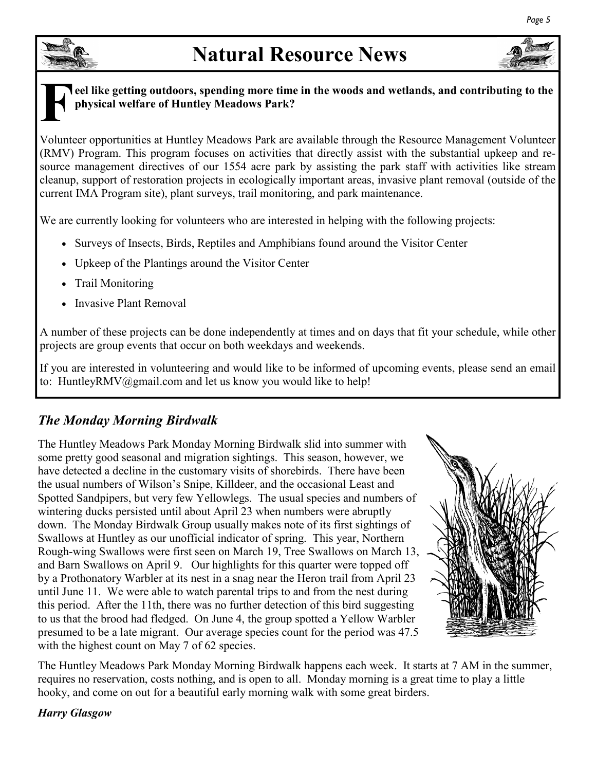## **Natural Resource News**







### **F eel like getting outdoors, spending more time in the woods and wetlands, and contributing to the physical welfare of Huntley Meadows Park?**

Volunteer opportunities at Huntley Meadows Park are available through the Resource Management Volunteer (RMV) Program. This program focuses on activities that directly assist with the substantial upkeep and resource management directives of our 1554 acre park by assisting the park staff with activities like stream cleanup, support of restoration projects in ecologically important areas, invasive plant removal (outside of the current IMA Program site), plant surveys, trail monitoring, and park maintenance.

We are currently looking for volunteers who are interested in helping with the following projects:

- Surveys of Insects, Birds, Reptiles and Amphibians found around the Visitor Center
- Upkeep of the Plantings around the Visitor Center
- Trail Monitoring
- Invasive Plant Removal

A number of these projects can be done independently at times and on days that fit your schedule, while other projects are group events that occur on both weekdays and weekends.

If you are interested in volunteering and would like to be informed of upcoming events, please send an email to: HuntleyRMV@gmail.com and let us know you would like to help!

### *The Monday Morning Birdwalk*

The Huntley Meadows Park Monday Morning Birdwalk slid into summer with some pretty good seasonal and migration sightings. This season, however, we have detected a decline in the customary visits of shorebirds. There have been the usual numbers of Wilson's Snipe, Killdeer, and the occasional Least and Spotted Sandpipers, but very few Yellowlegs. The usual species and numbers of wintering ducks persisted until about April 23 when numbers were abruptly down. The Monday Birdwalk Group usually makes note of its first sightings of Swallows at Huntley as our unofficial indicator of spring. This year, Northern Rough-wing Swallows were first seen on March 19, Tree Swallows on March 13, and Barn Swallows on April 9. Our highlights for this quarter were topped off by a Prothonatory Warbler at its nest in a snag near the Heron trail from April 23 until June 11. We were able to watch parental trips to and from the nest during this period. After the 11th, there was no further detection of this bird suggesting to us that the brood had fledged. On June 4, the group spotted a Yellow Warbler presumed to be a late migrant. Our average species count for the period was 47.5 with the highest count on May 7 of 62 species.



The Huntley Meadows Park Monday Morning Birdwalk happens each week. It starts at 7 AM in the summer, requires no reservation, costs nothing, and is open to all. Monday morning is a great time to play a little hooky, and come on out for a beautiful early morning walk with some great birders.

### *Harry Glasgow*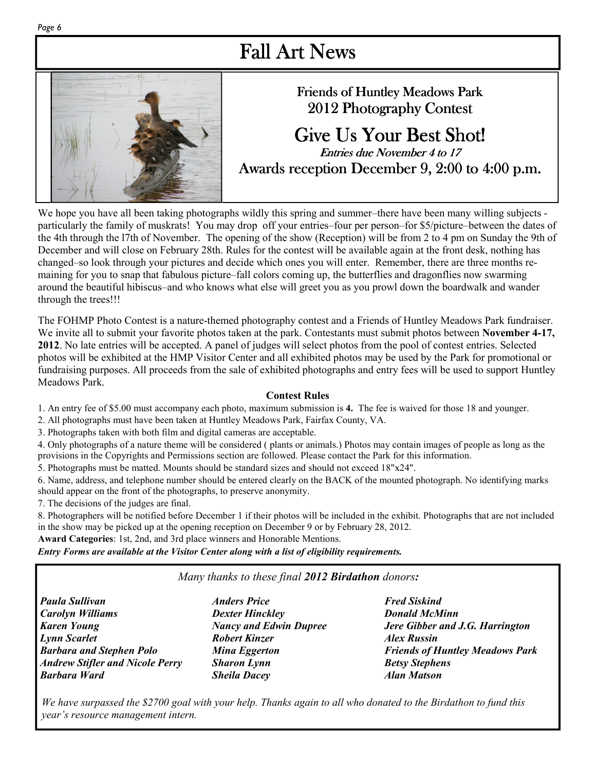### Fall Art News



### Friends of Huntley Meadows Park 2012 Photography Contest

### Give Us Your Best Shot! **Entries due November 4 to 17** Awards reception December 9, 2:00 to 4:00 p.m.

We hope you have all been taking photographs wildly this spring and summer–there have been many willing subjects particularly the family of muskrats! You may drop off your entries–four per person–for \$5/picture–between the dates of the 4th through the l7th of November. The opening of the show (Reception) will be from 2 to 4 pm on Sunday the 9th of December and will close on February 28th. Rules for the contest will be available again at the front desk, nothing has changed–so look through your pictures and decide which ones you will enter. Remember, there are three months remaining for you to snap that fabulous picture–fall colors coming up, the butterflies and dragonflies now swarming around the beautiful hibiscus–and who knows what else will greet you as you prowl down the boardwalk and wander through the trees!!!

The FOHMP Photo Contest is a nature-themed photography contest and a Friends of Huntley Meadows Park fundraiser. We invite all to submit your favorite photos taken at the park. Contestants must submit photos between **November 4-17, 2012**. No late entries will be accepted. A panel of judges will select photos from the pool of contest entries. Selected photos will be exhibited at the HMP Visitor Center and all exhibited photos may be used by the Park for promotional or fundraising purposes. All proceeds from the sale of exhibited photographs and entry fees will be used to support Huntley Meadows Park.

### **Contest Rules**

1. An entry fee of \$5.00 must accompany each photo, maximum submission is **4.** The fee is waived for those 18 and younger.

2. All photographs must have been taken at Huntley Meadows Park, Fairfax County, VA.

3. Photographs taken with both film and digital cameras are acceptable.

4. Only photographs of a nature theme will be considered ( plants or animals.) Photos may contain images of people as long as the provisions in the Copyrights and Permissions section are followed. Please contact the Park for this information.

5. Photographs must be matted. Mounts should be standard sizes and should not exceed 18"x24".

6. Name, address, and telephone number should be entered clearly on the BACK of the mounted photograph. No identifying marks should appear on the front of the photographs, to preserve anonymity.

7. The decisions of the judges are final.

8. Photographers will be notified before December 1 if their photos will be included in the exhibit. Photographs that are not included in the show may be picked up at the opening reception on December 9 or by February 28, 2012.

**Award Categories**: 1st, 2nd, and 3rd place winners and Honorable Mentions.

*Entry Forms are available at the Visitor Center along with a list of eligibility requirements.* 

### *Many thanks to these final 2012 Birdathon donors:*

*Paula Sullivan Carolyn Williams Karen Young Lynn Scarlet Barbara and Stephen Polo Andrew Stifler and Nicole Perry Barbara Ward* 

*Dexter Hinckley Nancy and Edwin Dupree Robert Kinzer Mina Eggerton Sharon Lynn Sheila Dacey* 

*Anders Price* 

*Fred Siskind Donald McMinn Jere Gibber and J.G. Harrington Alex Russin Friends of Huntley Meadows Park Betsy Stephens Alan Matson* 

*We have surpassed the \$2700 goal with your help. Thanks again to all who donated to the Birdathon to fund this year's resource management intern.*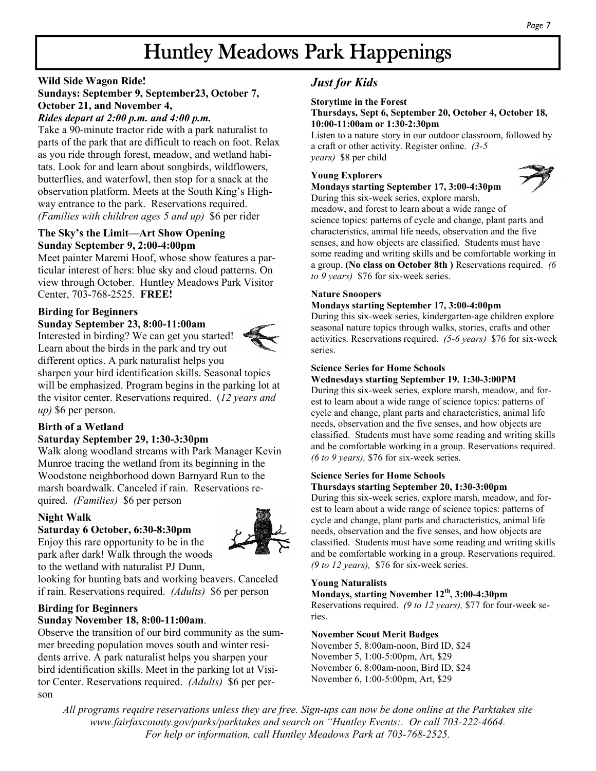### Huntley Meadows Park Happenings

### **Wild Side Wagon Ride! Sundays: September 9, September23, October 7, October 21, and November 4,**

### *Rides depart at 2:00 p.m. and 4:00 p.m.*

Take a 90-minute tractor ride with a park naturalist to parts of the park that are difficult to reach on foot. Relax as you ride through forest, meadow, and wetland habitats. Look for and learn about songbirds, wildflowers, butterflies, and waterfowl, then stop for a snack at the observation platform. Meets at the South King's Highway entrance to the park. Reservations required. *(Families with children ages 5 and up)* \$6 per rider

### **The Sky's the Limit—Art Show Opening Sunday September 9, 2:00-4:00pm**

Meet painter Maremi Hoof, whose show features a particular interest of hers: blue sky and cloud patterns. On view through October. Huntley Meadows Park Visitor Center, 703-768-2525. **FREE!**

### **Birding for Beginners**

**Sunday September 23, 8:00-11:00am**  Interested in birding? We can get you started! Learn about the birds in the park and try out



different optics. A park naturalist helps you sharpen your bird identification skills. Seasonal topics will be emphasized. Program begins in the parking lot at the visitor center. Reservations required. (*12 years and up*) \$6 per person.

### **Birth of a Wetland**

### **Saturday September 29, 1:30-3:30pm**

Walk along woodland streams with Park Manager Kevin Munroe tracing the wetland from its beginning in the Woodstone neighborhood down Barnyard Run to the marsh boardwalk. Canceled if rain. Reservations required. *(Families)* \$6 per person

### **Night Walk**

### **Saturday 6 October, 6:30-8:30pm**



Enjoy this rare opportunity to be in the park after dark! Walk through the woods to the wetland with naturalist PJ Dunn,

looking for hunting bats and working beavers. Canceled if rain. Reservations required. *(Adults)* \$6 per person

#### **Birding for Beginners Sunday November 18, 8:00-11:00am**.

Observe the transition of our bird community as the summer breeding population moves south and winter residents arrive. A park naturalist helps you sharpen your bird identification skills. Meet in the parking lot at Visitor Center. Reservations required. *(Adults)* \$6 per person

### *Just for Kids*

### **Storytime in the Forest**

### **Thursdays, Sept 6, September 20, October 4, October 18, 10:00-11:00am or 1:30-2:30pm**

Listen to a nature story in our outdoor classroom, followed by a craft or other activity. Register online. *(3-5 years)* \$8 per child

### **Young Explorers**

### **Mondays starting September 17, 3:00-4:30pm**



During this six-week series, explore marsh,

meadow, and forest to learn about a wide range of science topics: patterns of cycle and change, plant parts and characteristics, animal life needs, observation and the five senses, and how objects are classified. Students must have some reading and writing skills and be comfortable working in a group. **(No class on October 8th )** Reservations required. *(6 to 9 years)* \$76 for six-week series.

### **Nature Snoopers**

### **Mondays starting September 17, 3:00-4:00pm**

During this six-week series, kindergarten-age children explore seasonal nature topics through walks, stories, crafts and other activities. Reservations required. *(5-6 years)* \$76 for six-week series.

### **Science Series for Home Schools**

#### **Wednesdays starting September 19. 1:30-3:00PM**

During this six-week series, explore marsh, meadow, and forest to learn about a wide range of science topics: patterns of cycle and change, plant parts and characteristics, animal life needs, observation and the five senses, and how objects are classified. Students must have some reading and writing skills and be comfortable working in a group. Reservations required. *(6 to 9 years),* \$76 for six-week series.

#### **Science Series for Home Schools Thursdays starting September 20, 1:30-3:00pm**

During this six-week series, explore marsh, meadow, and forest to learn about a wide range of science topics: patterns of cycle and change, plant parts and characteristics, animal life needs, observation and the five senses, and how objects are classified. Students must have some reading and writing skills and be comfortable working in a group. Reservations required. *(9 to 12 years),* \$76 for six-week series.

### **Young Naturalists**

**Mondays, starting November 12th, 3:00-4:30pm** 

Reservations required. *(9 to 12 years),* \$77 for four-week series.

### **November Scout Merit Badges**

November 5, 8:00am-noon, Bird ID, \$24 November 5, 1:00-5:00pm, Art, \$29 November 6, 8:00am-noon, Bird ID, \$24 November 6, 1:00-5:00pm, Art, \$29

*All programs require reservations unless they are free. Sign-ups can now be done online at the Parktakes site www.fairfaxcounty.gov/parks/parktakes and search on "Huntley Events:. Or call 703-222-4664. For help or information, call Huntley Meadows Park at 703-768-2525.*